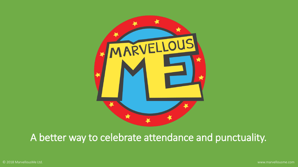

### A better way to celebrate attendance and punctuality.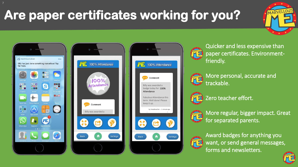# Are paper certificates working for you?









Quicker and less expensive than paper certificates. Environmentfriendly.



More personal, accurate and **MEI** trackable.



Zero teacher effort.



More regular, bigger impact. Great for separated parents.



Award badges for anything you want, or send general messages, forms and newsletters.

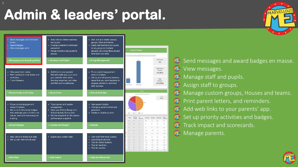# Admin & leaders' portal.





home

- Award badges

reminders.

Track followers.

where it matters.

is doing.

**Bulk Data** 

Data Export

**School Badges** 

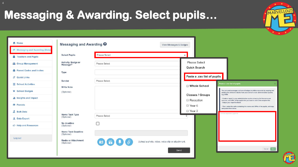### **Messaging & Awarding. Select pupils...**

| <b>合</b> Home                     | Messaging and Awarding <sup>O</sup>      |                                                          | View Messages & Badges      |                                                                                                                                                                          |  |  |
|-----------------------------------|------------------------------------------|----------------------------------------------------------|-----------------------------|--------------------------------------------------------------------------------------------------------------------------------------------------------------------------|--|--|
| Messaging and Awarding (Beta)     |                                          |                                                          |                             |                                                                                                                                                                          |  |  |
| Feachers and Pupils               | <b>Select Pupils</b>                     | Please Select                                            |                             |                                                                                                                                                                          |  |  |
| <b>Le</b> Group Management        | Activity, Badge or<br>Message?           | Please Select                                            | Please Select               |                                                                                                                                                                          |  |  |
| <b>A</b> Parent Codes and Invites | <b>Type</b>                              |                                                          | Quick Search                |                                                                                                                                                                          |  |  |
| <b>S</b> Quick Links              |                                          |                                                          | Paste a .csv list of pupils |                                                                                                                                                                          |  |  |
| School Activities                 | Sender<br><b>Write Note</b>              | Please Select                                            | <b>Whole School</b>         | Paste a .csv list of pupils                                                                                                                                              |  |  |
| ★ School Badges                   | (Optional)                               |                                                          | <b>Classes / Groups</b>     | You can send messages and award badges to children/parents by copying and<br>pasting the children's details from your school's main administration system,<br>e.g. SIMS. |  |  |
| Insights and Impact               |                                          |                                                          | Reception                   | Create a report in your administration system showing the forename and<br>surname, and UPN, of the pupils that you want to add to the recipient list.                    |  |  |
| <b>O</b> Parents                  |                                          |                                                          | Year 6                      | - Output your report to Excel.<br>- Then, select the cells containing the names and UPNs of the pupils, and copy<br>and paste them below.                                |  |  |
| <b>A</b> Bulk Data                |                                          |                                                          | □ Year 2                    | Comma seperated pupils list                                                                                                                                              |  |  |
| <b>L</b> Data Export              | <b>Home Task Type</b><br>(Optional)      | Please Select                                            |                             |                                                                                                                                                                          |  |  |
| <b>i</b> G Help and Resources     | No deadline<br>(Optional)                |                                                          |                             |                                                                                                                                                                          |  |  |
|                                   | <b>Home Task Deadline</b><br>(Optional)  |                                                          |                             |                                                                                                                                                                          |  |  |
| Log out                           | <b>Media or Attachment</b><br>(Optional) | OEQO<br>Upload a photo, video, voice clip or attachment. |                             |                                                                                                                                                                          |  |  |
|                                   |                                          |                                                          | Send                        | Cancel                                                                                                                                                                   |  |  |



MARVELLOUS

4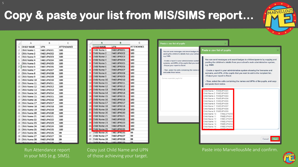$B$ 

 $\mathsf{A}$ 

 $\epsilon$ 

|                | А                 | в                  | C                 |
|----------------|-------------------|--------------------|-------------------|
| $\mathbf{1}$   | <b>CHILD NAME</b> | <b>UPN</b>         | <b>ATTENDANCE</b> |
| $\overline{2}$ | Child Name 1      | FAKEUPN001         | 100               |
| 3              | Child Name 2      | FAKEUPN002         | 100               |
| 4              | Child Name 3      | FAKEUPN003         | 100               |
| 5              | Child Name 4      | FAKEUPN004         | 100               |
| 6              | Child Name 5      | <b>FAKEUPN005</b>  | 100               |
| $\overline{7}$ | Child Name 6      | FAKEUPN006         | 100               |
| 8              | Child Name 7      | FAKEUPN007         | 100               |
| 9              | Child Name 8      | <b>FAKEUPN008</b>  | 100               |
| 10             | Child Name 9      | FAKEUPN009         | 100               |
| 11             | Child Name 10     | FAKEUPN010         | 100               |
| 12             | Child Name 11     | FAKEUPN011         | 100               |
| 13             | Child Name 12     | FAKEUPN012         | 100               |
| 14             | Child Name 13     | FAKEUPN013         | 100               |
| 15             | Child Name 14     | FAKEUPN014         | 100               |
| 16             | Child Name 15     | FAKEUPN015         | 100               |
| 17             | Child Name 16     | FAKEUPN016         | 100               |
| 18             | Child Name 17     | FAKEUPN017         | 100               |
| 19             | Child Name 18     | FAKEUPN018         | 100               |
| 20             | Child Name 19     | FAKEUPN019         | 100               |
| 21             | Child Name 20     | FAKEUPN020         | 100               |
| 22             | Child Name 21     | FAKEUPN021         | 100               |
| 23             | Child Name 22     | FAKEUPN022         | 100               |
| 24             | Child Name 23     | FAKEUPN023         | 100               |
| 25             | Child Name 24     | FAKEUPN024         | 100               |
| 26             | Child Name 25     | FAKEUPN025         | 100               |
| 27             | Child Name 26     | <b>FAKEUPN026</b>  | 99                |
| 28             | Child Name 27     | FAKEUPN027         | 99                |
| 29             | Child Name 28     | FAKEUPN028         | 99                |
|                | 20 Child Name 20  | <b>CAVELIDNO30</b> | 0Q                |

#### Run Attendance report in your MIS (e.g. SIMS).

Copy just Child Name and UPN of those achieving your target.

pasting the children's details from your school's main administration system, surname, and UPN, of the pupils that you want e.g. SIMS. - Output your report to Excel. - Then, select the cells containing the names a - Create a report in your administration system showing the forename and and paste them below. surname, and UPN, of the pupils that you want to add to the recipient list. - Output your report to Excel. Comma seperated pupils list - Then, select the cells containing the names and UPNs of the pupils, and copy and paste them below. Child Name 1 FAKEUPN001 Child Name 2 FAKEUPN002 Child Name 3 FAKEUPN003 Child Name 4 FAKEUPN004 Child Name 5 FAKEUPN005 Child Name 6 FAKEUPN006 Child Name 7 FAKEUPN007 Child Name 8 FAKEUPN008 Child Name 9 FAKEUPN009 Child Name 10 FAKEUPN01 Child Name 11 FAKEUPN01 Child Name 12 FAKEUPN01 FAKEUPN013 Child Name 13 Child Name 14 FAKEUPN014 Child Name 15 FAKEUPN015

Paste a .csy list of pupils

Paste into MarvellousMe and confirm.

You can send messages and award badges to children/parents by copying and



Cancel

### Copy & paste your list from MIS/SIMS report...

Paste a .csv list of pupils

e.g. SIMS.

You can send messages and award badges to

pasting the children's details from your schoo

- Create a report in your administration system

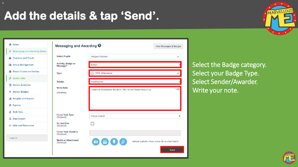### Add the details & tap 'Send'.



|                                              | Messaging and Awarding <sup>O</sup>      | View Messages & Badges                                       |                                                  |
|----------------------------------------------|------------------------------------------|--------------------------------------------------------------|--------------------------------------------------|
| i <sup>→</sup> Messaging and Awarding (Beta) |                                          |                                                              |                                                  |
| Teachers and Pupils                          | <b>Select Pupils</b>                     | Multiple Children                                            | ۰                                                |
| <b>12</b> Group Management                   | Activity, Badge or<br>Message?           | Badge                                                        |                                                  |
| Parent Codes and Invites                     | <b>Type</b>                              | 100% Attendance                                              |                                                  |
| & Quick Links                                | Sender                                   | Headteacher                                                  |                                                  |
| 目<br><b>School Activities</b>                | <b>Write Note</b>                        |                                                              |                                                  |
| ★ School Badges                              | (Optional)                               | Fabulous Attendance this term. Well done! Please keep it up. | 140                                              |
| <b>Insights and Impact</b>                   |                                          |                                                              |                                                  |
| <b>O</b> Parents                             |                                          |                                                              |                                                  |
| æ,<br><b>Bulk Data</b>                       | <b>Home Task Type</b>                    |                                                              |                                                  |
| <b>L</b> Data Export                         | (Optional)                               | Please Select                                                | ÷                                                |
| <b>IC</b> Help and Resources                 | No deadline<br>(Optional)                |                                                              |                                                  |
|                                              | <b>Home Task Deadline</b><br>(Optional)  |                                                              |                                                  |
| Log out                                      | <b>Media or Attachment</b><br>(Optional) | $\circ$                                                      | Upload a photo, video, voice clip or attachment. |

Select the Badge category. Select your Badge Type. Select Sender/Awarder. Write your note.